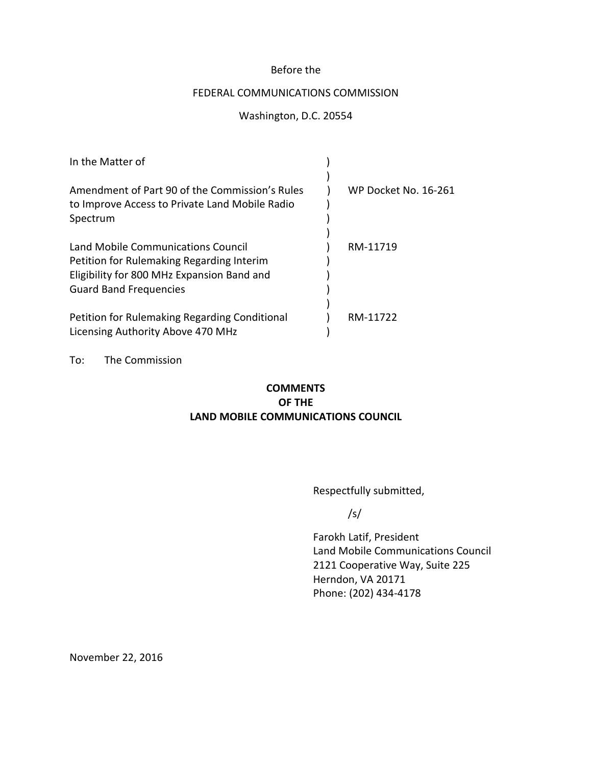# Before the

# FEDERAL COMMUNICATIONS COMMISSION

# Washington, D.C. 20554

| In the Matter of                                                                                                                                               |                      |
|----------------------------------------------------------------------------------------------------------------------------------------------------------------|----------------------|
| Amendment of Part 90 of the Commission's Rules<br>to Improve Access to Private Land Mobile Radio<br>Spectrum                                                   | WP Docket No. 16-261 |
| Land Mobile Communications Council<br>Petition for Rulemaking Regarding Interim<br>Eligibility for 800 MHz Expansion Band and<br><b>Guard Band Frequencies</b> | RM-11719             |
| Petition for Rulemaking Regarding Conditional<br>Licensing Authority Above 470 MHz                                                                             | RM-11722             |

To: The Commission

# **COMMENTS OF THE LAND MOBILE COMMUNICATIONS COUNCIL**

Respectfully submitted,

/s/

Farokh Latif, President Land Mobile Communications Council 2121 Cooperative Way, Suite 225 Herndon, VA 20171 Phone: (202) 434-4178

November 22, 2016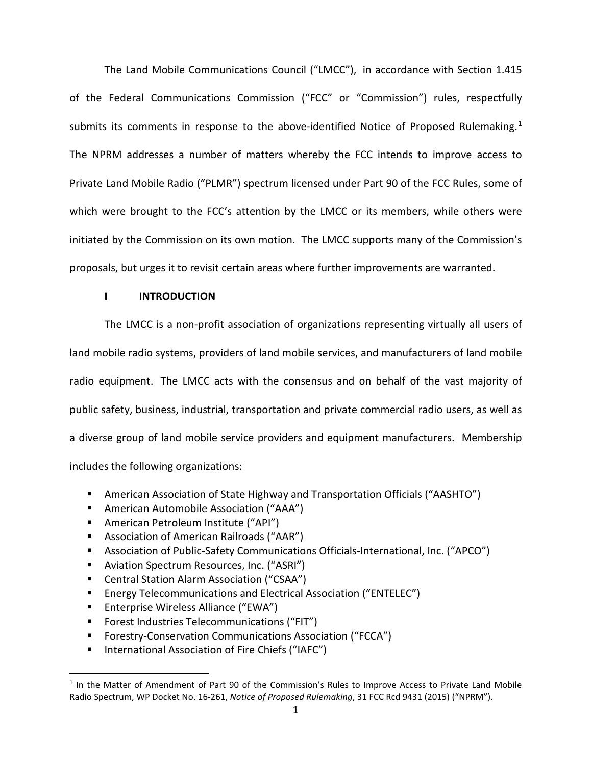The Land Mobile Communications Council ("LMCC"), in accordance with Section 1.415 of the Federal Communications Commission ("FCC" or "Commission") rules, respectfully submits its comments in response to the above-identified Notice of Proposed Rulemaking.<sup>[1](#page-1-0)</sup> The NPRM addresses a number of matters whereby the FCC intends to improve access to Private Land Mobile Radio ("PLMR") spectrum licensed under Part 90 of the FCC Rules, some of which were brought to the FCC's attention by the LMCC or its members, while others were initiated by the Commission on its own motion. The LMCC supports many of the Commission's proposals, but urges it to revisit certain areas where further improvements are warranted.

## **I INTRODUCTION**

The LMCC is a non-profit association of organizations representing virtually all users of land mobile radio systems, providers of land mobile services, and manufacturers of land mobile radio equipment. The LMCC acts with the consensus and on behalf of the vast majority of public safety, business, industrial, transportation and private commercial radio users, as well as a diverse group of land mobile service providers and equipment manufacturers. Membership includes the following organizations:

- American Association of State Highway and Transportation Officials ("AASHTO")
- American Automobile Association ("AAA")
- American Petroleum Institute ("API")
- Association of American Railroads ("AAR")
- Association of Public-Safety Communications Officials-International, Inc. ("APCO")
- **Aviation Spectrum Resources, Inc. ("ASRI")**
- Central Station Alarm Association ("CSAA")
- Energy Telecommunications and Electrical Association ("ENTELEC")
- **Enterprise Wireless Alliance ("EWA")**

- **Forest Industries Telecommunications ("FIT")**
- Forestry-Conservation Communications Association ("FCCA")
- International Association of Fire Chiefs ("IAFC")

<span id="page-1-0"></span> $1$  In the Matter of Amendment of Part 90 of the Commission's Rules to Improve Access to Private Land Mobile Radio Spectrum, WP Docket No. 16-261, *Notice of Proposed Rulemaking*, 31 FCC Rcd 9431 (2015) ("NPRM").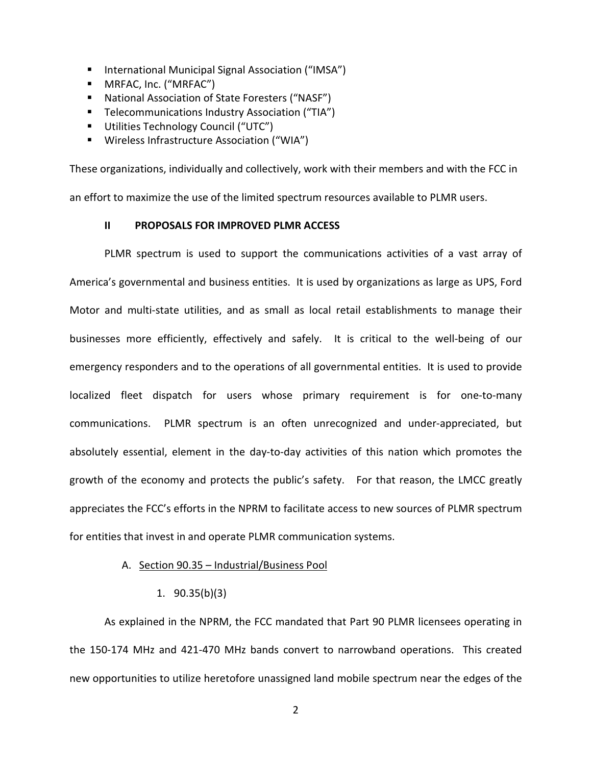- International Municipal Signal Association ("IMSA")
- MRFAC, Inc. ("MRFAC")
- National Association of State Foresters ("NASF")
- **Telecommunications Industry Association ("TIA")**
- **Utilities Technology Council ("UTC")**
- Wireless Infrastructure Association ("WIA")

These organizations, individually and collectively, work with their members and with the FCC in an effort to maximize the use of the limited spectrum resources available to PLMR users.

### **II PROPOSALS FOR IMPROVED PLMR ACCESS**

PLMR spectrum is used to support the communications activities of a vast array of America's governmental and business entities. It is used by organizations as large as UPS, Ford Motor and multi-state utilities, and as small as local retail establishments to manage their businesses more efficiently, effectively and safely. It is critical to the well-being of our emergency responders and to the operations of all governmental entities. It is used to provide localized fleet dispatch for users whose primary requirement is for one-to-many communications. PLMR spectrum is an often unrecognized and under-appreciated, but absolutely essential, element in the day-to-day activities of this nation which promotes the growth of the economy and protects the public's safety. For that reason, the LMCC greatly appreciates the FCC's efforts in the NPRM to facilitate access to new sources of PLMR spectrum for entities that invest in and operate PLMR communication systems.

#### A. Section 90.35 – Industrial/Business Pool

1. 90.35(b)(3)

As explained in the NPRM, the FCC mandated that Part 90 PLMR licensees operating in the 150-174 MHz and 421-470 MHz bands convert to narrowband operations. This created new opportunities to utilize heretofore unassigned land mobile spectrum near the edges of the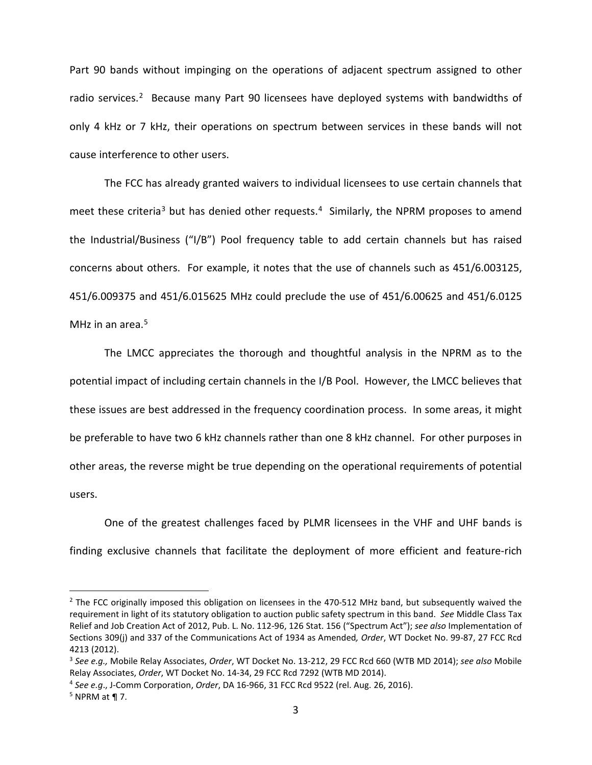Part 90 bands without impinging on the operations of adjacent spectrum assigned to other radio services.<sup>2</sup> Because many Part 90 licensees have deployed systems with bandwidths of only 4 kHz or 7 kHz, their operations on spectrum between services in these bands will not cause interference to other users.

The FCC has already granted waivers to individual licensees to use certain channels that meet these criteria<sup>[3](#page-3-1)</sup> but has denied other requests.<sup>[4](#page-3-2)</sup> Similarly, the NPRM proposes to amend the Industrial/Business ("I/B") Pool frequency table to add certain channels but has raised concerns about others. For example, it notes that the use of channels such as 451/6.003125, 451/6.009375 and 451/6.015625 MHz could preclude the use of 451/6.00625 and 451/6.0125 MHz in an area.<sup>[5](#page-3-3)</sup>

The LMCC appreciates the thorough and thoughtful analysis in the NPRM as to the potential impact of including certain channels in the I/B Pool. However, the LMCC believes that these issues are best addressed in the frequency coordination process. In some areas, it might be preferable to have two 6 kHz channels rather than one 8 kHz channel. For other purposes in other areas, the reverse might be true depending on the operational requirements of potential users.

One of the greatest challenges faced by PLMR licensees in the VHF and UHF bands is finding exclusive channels that facilitate the deployment of more efficient and feature-rich

<span id="page-3-0"></span><sup>&</sup>lt;sup>2</sup> The FCC originally imposed this obligation on licensees in the 470-512 MHz band, but subsequently waived the requirement in light of its statutory obligation to auction public safety spectrum in this band. *See* Middle Class Tax Relief and Job Creation Act of 2012, Pub. L. No. 112-96, 126 Stat. 156 ("Spectrum Act"); *see also* Implementation of Sections 309(j) and 337 of the Communications Act of 1934 as Amended*, Order*, WT Docket No. 99-87, 27 FCC Rcd 4213 (2012).

<span id="page-3-1"></span><sup>3</sup> *See e.g.,* Mobile Relay Associates, *Order*, WT Docket No. 13-212, 29 FCC Rcd 660 (WTB MD 2014); *see also* Mobile Relay Associates, *Order*, WT Docket No. 14-34, 29 FCC Rcd 7292 (WTB MD 2014).

<span id="page-3-2"></span><sup>4</sup> *See e.g*., J-Comm Corporation, *Order*, DA 16-966, 31 FCC Rcd 9522 (rel. Aug. 26, 2016). 5 NPRM at ¶ 7.

<span id="page-3-3"></span>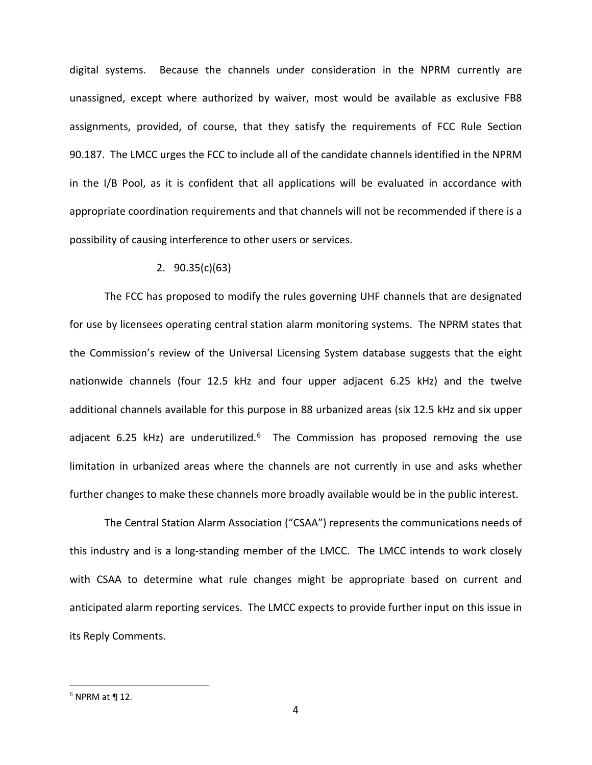digital systems. Because the channels under consideration in the NPRM currently are unassigned, except where authorized by waiver, most would be available as exclusive FB8 assignments, provided, of course, that they satisfy the requirements of FCC Rule Section 90.187. The LMCC urges the FCC to include all of the candidate channels identified in the NPRM in the I/B Pool, as it is confident that all applications will be evaluated in accordance with appropriate coordination requirements and that channels will not be recommended if there is a possibility of causing interference to other users or services.

#### 2. 90.35(c)(63)

The FCC has proposed to modify the rules governing UHF channels that are designated for use by licensees operating central station alarm monitoring systems. The NPRM states that the Commission's review of the Universal Licensing System database suggests that the eight nationwide channels (four 12.5 kHz and four upper adjacent 6.25 kHz) and the twelve additional channels available for this purpose in 88 urbanized areas (six 12.5 kHz and six upper adjacent 6.25 kHz) are underutilized.<sup>6</sup> The Commission has proposed removing the use limitation in urbanized areas where the channels are not currently in use and asks whether further changes to make these channels more broadly available would be in the public interest.

The Central Station Alarm Association ("CSAA") represents the communications needs of this industry and is a long-standing member of the LMCC. The LMCC intends to work closely with CSAA to determine what rule changes might be appropriate based on current and anticipated alarm reporting services. The LMCC expects to provide further input on this issue in its Reply Comments.

<span id="page-4-0"></span> $6$  NPRM at ¶ 12.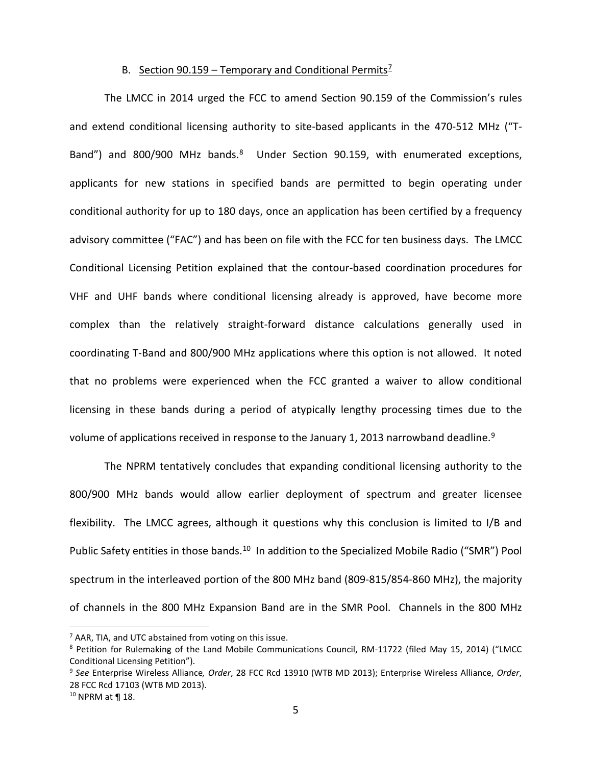### B. Section 90.159 – Temporary and Conditional Permits<sup>2</sup>

The LMCC in 2014 urged the FCC to amend Section 90.159 of the Commission's rules and extend conditional licensing authority to site-based applicants in the 470-512 MHz ("T-Band") and 800/900 MHz bands.<sup>8</sup> Under Section 90.159, with enumerated exceptions, applicants for new stations in specified bands are permitted to begin operating under conditional authority for up to 180 days, once an application has been certified by a frequency advisory committee ("FAC") and has been on file with the FCC for ten business days. The LMCC Conditional Licensing Petition explained that the contour-based coordination procedures for VHF and UHF bands where conditional licensing already is approved, have become more complex than the relatively straight-forward distance calculations generally used in coordinating T-Band and 800/900 MHz applications where this option is not allowed. It noted that no problems were experienced when the FCC granted a waiver to allow conditional licensing in these bands during a period of atypically lengthy processing times due to the volume of applications received in response to the January 1, 2013 narrowband deadline.<sup>[9](#page-5-2)</sup>

The NPRM tentatively concludes that expanding conditional licensing authority to the 800/900 MHz bands would allow earlier deployment of spectrum and greater licensee flexibility. The LMCC agrees, although it questions why this conclusion is limited to I/B and Public Safety entities in those bands.<sup>[10](#page-5-3)</sup> In addition to the Specialized Mobile Radio ("SMR") Pool spectrum in the interleaved portion of the 800 MHz band (809-815/854-860 MHz), the majority of channels in the 800 MHz Expansion Band are in the SMR Pool. Channels in the 800 MHz

<span id="page-5-0"></span> $<sup>7</sup>$  AAR, TIA, and UTC abstained from voting on this issue.</sup>

<span id="page-5-1"></span><sup>&</sup>lt;sup>8</sup> Petition for Rulemaking of the Land Mobile Communications Council, RM-11722 (filed May 15, 2014) ("LMCC Conditional Licensing Petition").

<span id="page-5-2"></span><sup>9</sup> *See* Enterprise Wireless Alliance*, Order*, 28 FCC Rcd 13910 (WTB MD 2013); Enterprise Wireless Alliance, *Order*, 28 FCC Rcd 17103 (WTB MD 2013).

<span id="page-5-3"></span><sup>10</sup> NPRM at ¶ 18.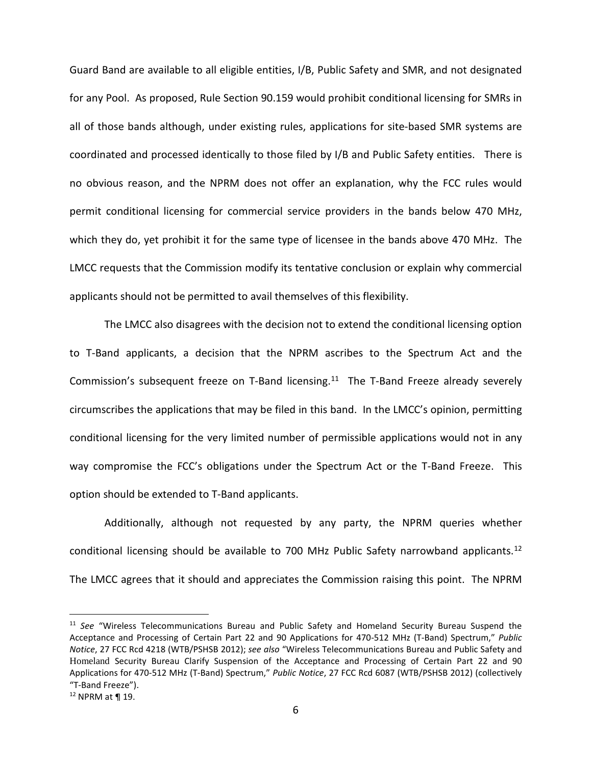Guard Band are available to all eligible entities, I/B, Public Safety and SMR, and not designated for any Pool. As proposed, Rule Section 90.159 would prohibit conditional licensing for SMRs in all of those bands although, under existing rules, applications for site-based SMR systems are coordinated and processed identically to those filed by I/B and Public Safety entities. There is no obvious reason, and the NPRM does not offer an explanation, why the FCC rules would permit conditional licensing for commercial service providers in the bands below 470 MHz, which they do, yet prohibit it for the same type of licensee in the bands above 470 MHz. The LMCC requests that the Commission modify its tentative conclusion or explain why commercial applicants should not be permitted to avail themselves of this flexibility.

The LMCC also disagrees with the decision not to extend the conditional licensing option to T-Band applicants, a decision that the NPRM ascribes to the Spectrum Act and the Commission's subsequent freeze on T-Band licensing.<sup>11</sup> The T-Band Freeze already severely circumscribes the applications that may be filed in this band. In the LMCC's opinion, permitting conditional licensing for the very limited number of permissible applications would not in any way compromise the FCC's obligations under the Spectrum Act or the T-Band Freeze. This option should be extended to T-Band applicants.

Additionally, although not requested by any party, the NPRM queries whether conditional licensing should be available to 700 MHz Public Safety narrowband applicants.[12](#page-6-1) The LMCC agrees that it should and appreciates the Commission raising this point. The NPRM

<span id="page-6-0"></span><sup>11</sup> *See* "Wireless Telecommunications Bureau and Public Safety and Homeland Security Bureau Suspend the Acceptance and Processing of Certain Part 22 and 90 Applications for 470-512 MHz (T-Band) Spectrum," *Public Notice*, 27 FCC Rcd 4218 (WTB/PSHSB 2012); *see also* "Wireless Telecommunications Bureau and Public Safety and Homeland Security Bureau Clarify Suspension of the Acceptance and Processing of Certain Part 22 and 90 Applications for 470-512 MHz (T-Band) Spectrum," *Public Notice*, 27 FCC Rcd 6087 (WTB/PSHSB 2012) (collectively "T-Band Freeze").

<span id="page-6-1"></span> $12$  NPRM at ¶ 19.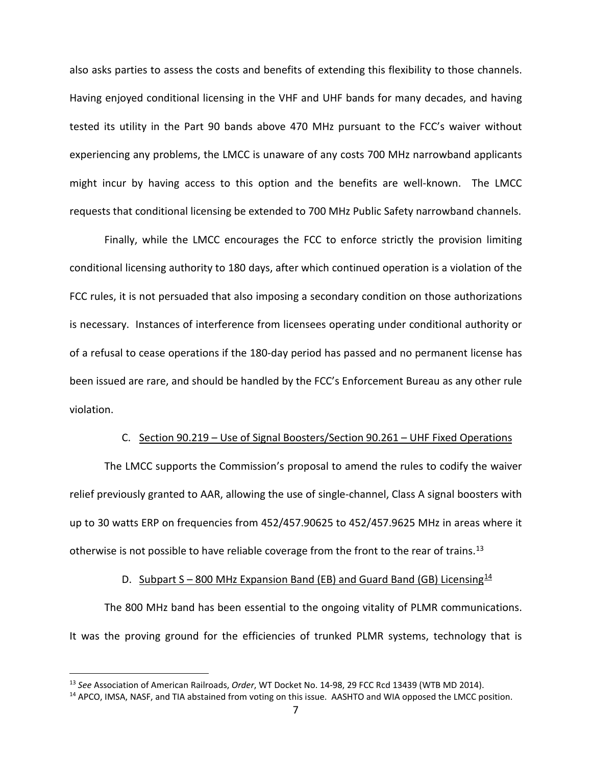also asks parties to assess the costs and benefits of extending this flexibility to those channels. Having enjoyed conditional licensing in the VHF and UHF bands for many decades, and having tested its utility in the Part 90 bands above 470 MHz pursuant to the FCC's waiver without experiencing any problems, the LMCC is unaware of any costs 700 MHz narrowband applicants might incur by having access to this option and the benefits are well-known. The LMCC requests that conditional licensing be extended to 700 MHz Public Safety narrowband channels.

Finally, while the LMCC encourages the FCC to enforce strictly the provision limiting conditional licensing authority to 180 days, after which continued operation is a violation of the FCC rules, it is not persuaded that also imposing a secondary condition on those authorizations is necessary. Instances of interference from licensees operating under conditional authority or of a refusal to cease operations if the 180-day period has passed and no permanent license has been issued are rare, and should be handled by the FCC's Enforcement Bureau as any other rule violation.

# C. Section 90.219 – Use of Signal Boosters/Section 90.261 – UHF Fixed Operations

The LMCC supports the Commission's proposal to amend the rules to codify the waiver relief previously granted to AAR, allowing the use of single-channel, Class A signal boosters with up to 30 watts ERP on frequencies from 452/457.90625 to 452/457.9625 MHz in areas where it otherwise is not possible to have reliable coverage from the front to the rear of trains.<sup>13</sup>

#### D. Subpart S – 800 MHz Expansion Band (EB) and Guard Band (GB) Licensing  $^{14}$  $^{14}$  $^{14}$

The 800 MHz band has been essential to the ongoing vitality of PLMR communications. It was the proving ground for the efficiencies of trunked PLMR systems, technology that is

<span id="page-7-0"></span><sup>13</sup> *See* Association of American Railroads, *Order*, WT Docket No. 14-98, 29 FCC Rcd 13439 (WTB MD 2014).

<span id="page-7-1"></span><sup>&</sup>lt;sup>14</sup> APCO, IMSA, NASF, and TIA abstained from voting on this issue. AASHTO and WIA opposed the LMCC position.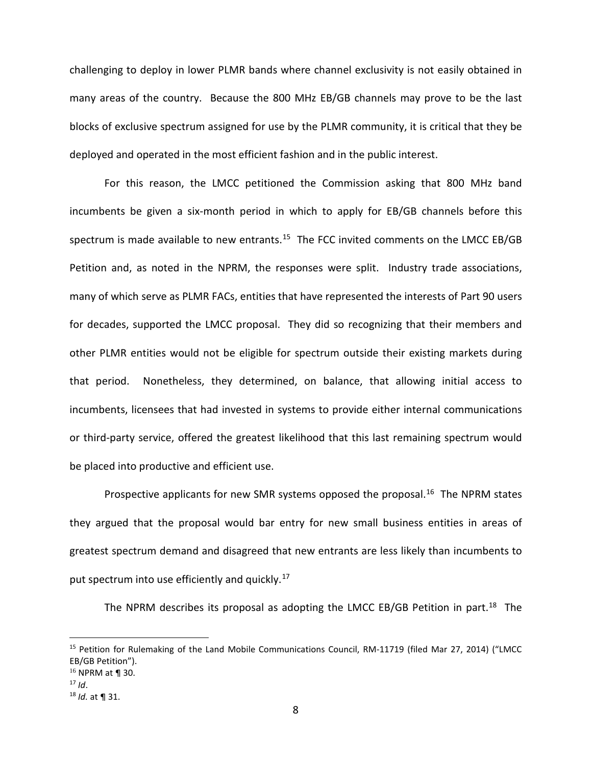challenging to deploy in lower PLMR bands where channel exclusivity is not easily obtained in many areas of the country. Because the 800 MHz EB/GB channels may prove to be the last blocks of exclusive spectrum assigned for use by the PLMR community, it is critical that they be deployed and operated in the most efficient fashion and in the public interest.

For this reason, the LMCC petitioned the Commission asking that 800 MHz band incumbents be given a six-month period in which to apply for EB/GB channels before this spectrum is made available to new entrants.<sup>15</sup> The FCC invited comments on the LMCC EB/GB Petition and, as noted in the NPRM, the responses were split. Industry trade associations, many of which serve as PLMR FACs, entities that have represented the interests of Part 90 users for decades, supported the LMCC proposal. They did so recognizing that their members and other PLMR entities would not be eligible for spectrum outside their existing markets during that period. Nonetheless, they determined, on balance, that allowing initial access to incumbents, licensees that had invested in systems to provide either internal communications or third-party service, offered the greatest likelihood that this last remaining spectrum would be placed into productive and efficient use.

Prospective applicants for new SMR systems opposed the proposal.<sup>[16](#page-8-1)</sup> The NPRM states they argued that the proposal would bar entry for new small business entities in areas of greatest spectrum demand and disagreed that new entrants are less likely than incumbents to put spectrum into use efficiently and quickly.<sup>[17](#page-8-2)</sup>

The NPRM describes its proposal as adopting the LMCC EB/GB Petition in part.<sup>18</sup> The

<span id="page-8-0"></span><sup>&</sup>lt;sup>15</sup> Petition for Rulemaking of the Land Mobile Communications Council, RM-11719 (filed Mar 27, 2014) ("LMCC EB/GB Petition").

<span id="page-8-1"></span> $16$  NPRM at ¶ 30.

<span id="page-8-2"></span> $17$  *Id.* 

<span id="page-8-3"></span><sup>18</sup> *Id.* at ¶ 31.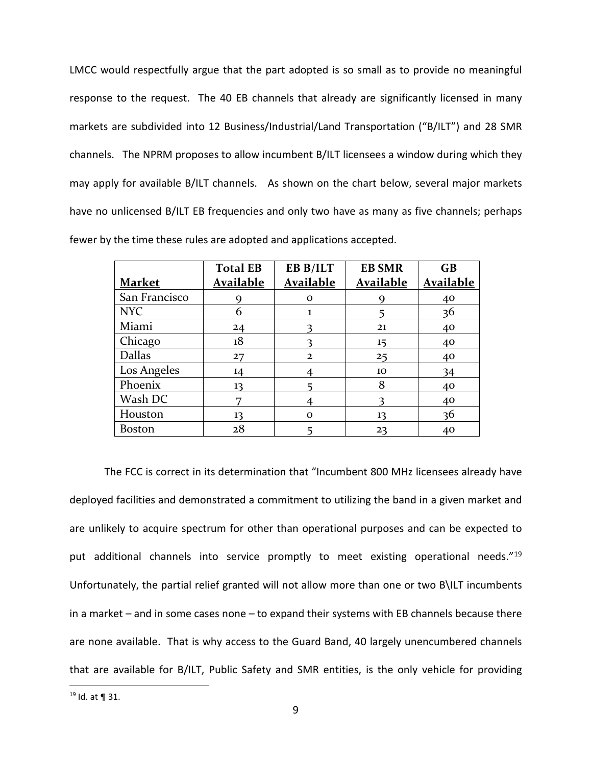LMCC would respectfully argue that the part adopted is so small as to provide no meaningful response to the request. The 40 EB channels that already are significantly licensed in many markets are subdivided into 12 Business/Industrial/Land Transportation ("B/ILT") and 28 SMR channels. The NPRM proposes to allow incumbent B/ILT licensees a window during which they may apply for available B/ILT channels. As shown on the chart below, several major markets have no unlicensed B/ILT EB frequencies and only two have as many as five channels; perhaps fewer by the time these rules are adopted and applications accepted.

|               | <b>Total EB</b>  | EB B/ILT         | <b>EB SMR</b> | $\overline{GB}$ |
|---------------|------------------|------------------|---------------|-----------------|
| <b>Market</b> | <u>Available</u> | <b>Available</b> | Available     | Available       |
| San Francisco |                  | O                |               | 40              |
| <b>NYC</b>    | 6                |                  |               | 36              |
| Miami         | 24               |                  | 21            | 40              |
| Chicago       | 18               |                  | 15            | 40              |
| <b>Dallas</b> | 27               | $\mathbf{2}$     | 25            | 40              |
| Los Angeles   | 14               |                  | 10            | 34              |
| Phoenix       | 13               |                  | 8             | 40              |
| Wash DC       |                  |                  |               | 40              |
| Houston       | 13               | O                | 13            | 36              |
| <b>Boston</b> | 28               |                  | 23            | 40              |

The FCC is correct in its determination that "Incumbent 800 MHz licensees already have deployed facilities and demonstrated a commitment to utilizing the band in a given market and are unlikely to acquire spectrum for other than operational purposes and can be expected to put additional channels into service promptly to meet existing operational needs."[19](#page-9-0) Unfortunately, the partial relief granted will not allow more than one or two B\ILT incumbents in a market – and in some cases none – to expand their systems with EB channels because there are none available. That is why access to the Guard Band, 40 largely unencumbered channels that are available for B/ILT, Public Safety and SMR entities, is the only vehicle for providing  $\overline{a}$ 

<span id="page-9-0"></span><sup>19</sup> Id. at ¶ 31.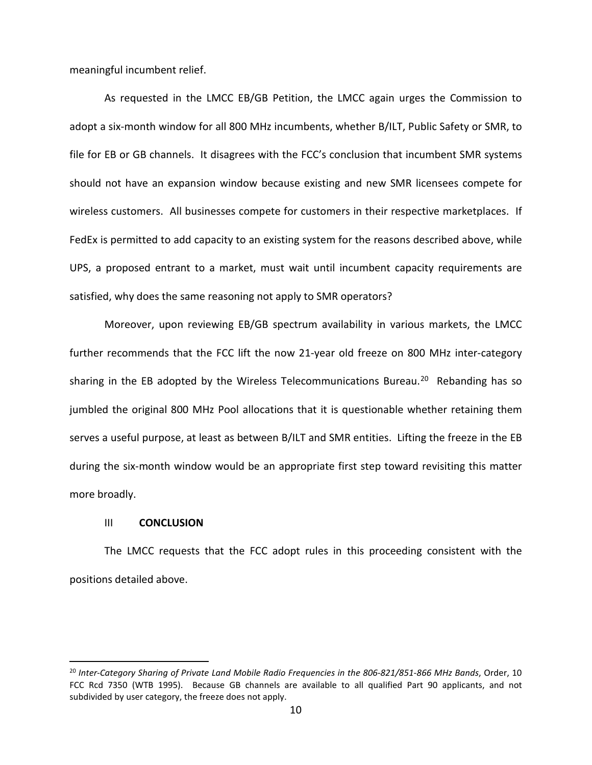meaningful incumbent relief.

As requested in the LMCC EB/GB Petition, the LMCC again urges the Commission to adopt a six-month window for all 800 MHz incumbents, whether B/ILT, Public Safety or SMR, to file for EB or GB channels. It disagrees with the FCC's conclusion that incumbent SMR systems should not have an expansion window because existing and new SMR licensees compete for wireless customers. All businesses compete for customers in their respective marketplaces. If FedEx is permitted to add capacity to an existing system for the reasons described above, while UPS, a proposed entrant to a market, must wait until incumbent capacity requirements are satisfied, why does the same reasoning not apply to SMR operators?

Moreover, upon reviewing EB/GB spectrum availability in various markets, the LMCC further recommends that the FCC lift the now 21-year old freeze on 800 MHz inter-category sharing in the EB adopted by the Wireless Telecommunications Bureau.<sup>[20](#page-10-0)</sup> Rebanding has so jumbled the original 800 MHz Pool allocations that it is questionable whether retaining them serves a useful purpose, at least as between B/ILT and SMR entities. Lifting the freeze in the EB during the six-month window would be an appropriate first step toward revisiting this matter more broadly.

#### III **CONCLUSION**

 $\overline{a}$ 

The LMCC requests that the FCC adopt rules in this proceeding consistent with the positions detailed above.

<span id="page-10-0"></span><sup>20</sup> *Inter-Category Sharing of Private Land Mobile Radio Frequencies in the 806-821/851-866 MHz Bands*, Order, 10 FCC Rcd 7350 (WTB 1995). Because GB channels are available to all qualified Part 90 applicants, and not subdivided by user category, the freeze does not apply.